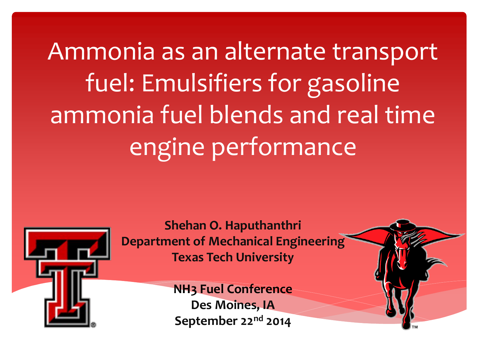Ammonia as an alternate transport fuel: Emulsifiers for gasoline ammonia fuel blends and real time engine performance



**Shehan O. Haputhanthri Department of Mechanical Engineering Texas Tech University**

> **NH3 Fuel Conference Des Moines, IA September 22nd 2014**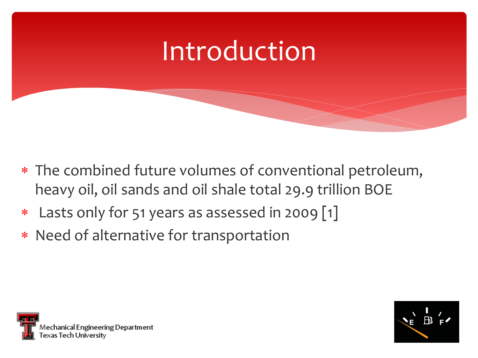

- The combined future volumes of conventional petroleum, heavy oil, oil sands and oil shale total 29.9 trillion BOE
- \* Lasts only for 51 years as assessed in 2009 [1]
- Need of alternative for transportation



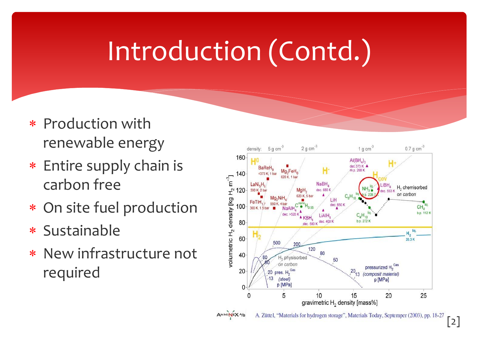# Introduction (Contd.)

- \* Production with renewable energy
- Entire supply chain is carbon free
- On site fuel production
- Sustainable
- New infrastructure not required

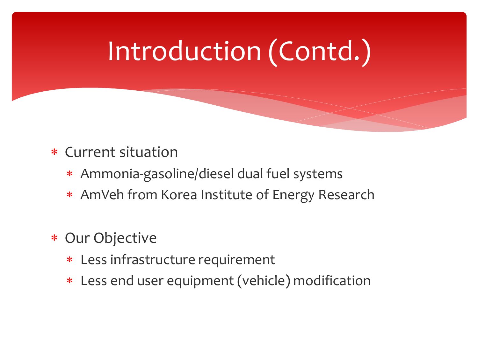# Introduction (Contd.)

#### Current situation

- Ammonia-gasoline/diesel dual fuel systems
- AmVeh from Korea Institute of Energy Research
- \* Our Objective
	- Less infrastructure requirement
	- Less end user equipment (vehicle) modification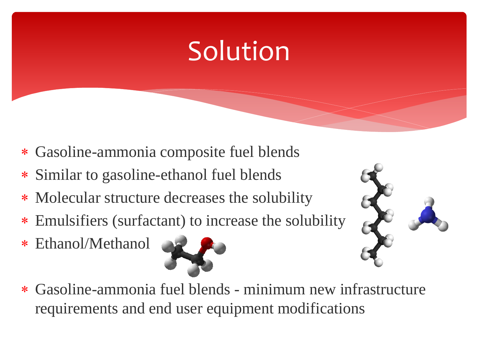# Solution

- Gasoline-ammonia composite fuel blends
- Similar to gasoline-ethanol fuel blends
- Molecular structure decreases the solubility
- Emulsifiers (surfactant) to increase the solubility
- Ethanol/Methanol





 Gasoline-ammonia fuel blends - minimum new infrastructure requirements and end user equipment modifications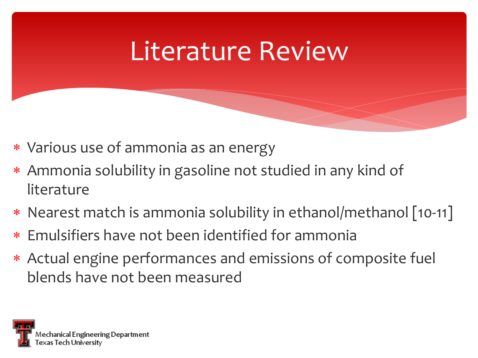#### Literature Review

- Various use of ammonia as an energy
- Ammonia solubility in gasoline not studied in any kind of literature
- \* Nearest match is ammonia solubility in ethanol/methanol [10-11]
- Emulsifiers have not been identified for ammonia
- Actual engine performances and emissions of composite fuel blends have not been measured

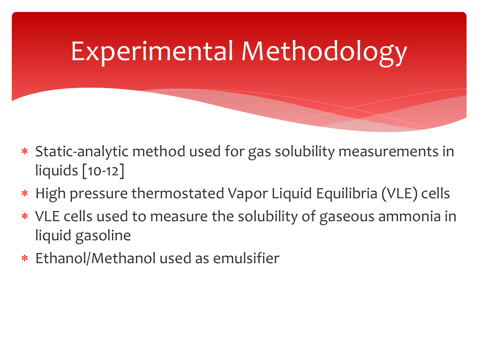# Experimental Methodology

- Static-analytic method used for gas solubility measurements in liquids [10-12]
- High pressure thermostated Vapor Liquid Equilibria (VLE) cells
- VLE cells used to measure the solubility of gaseous ammonia in liquid gasoline
- Ethanol/Methanol used as emulsifier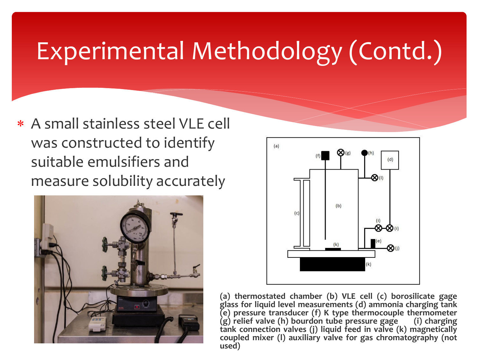#### Experimental Methodology (Contd.)

 A small stainless steel VLE cell was constructed to identify suitable emulsifiers and measure solubility accurately





**(a) thermostated chamber (b) VLE cell (c) borosilicate gage glass for liquid level measurements (d) ammonia charging tank (e) pressure transducer (f) K type thermocouple thermometer (g) relief valve (h) bourdon tube pressure gage (i) charging tank connection valves (j) liquid feed in valve (k) magnetically coupled mixer (l) auxiliary valve for gas chromatography (not used)**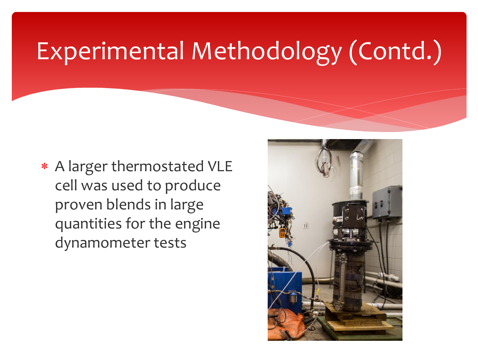#### Experimental Methodology (Contd.)

 A larger thermostated VLE cell was used to produce proven blends in large quantities for the engine dynamometer tests

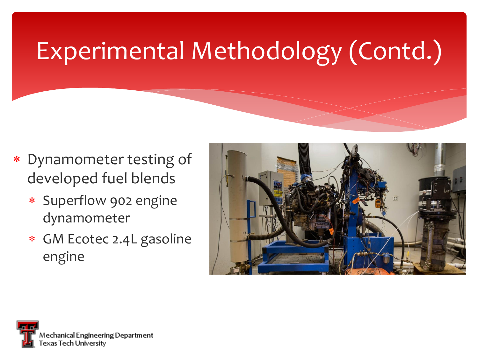### Experimental Methodology (Contd.)

- Dynamometer testing of developed fuel blends
	- Superflow 902 engine dynamometer
	- GM Ecotec 2.4L gasoline engine



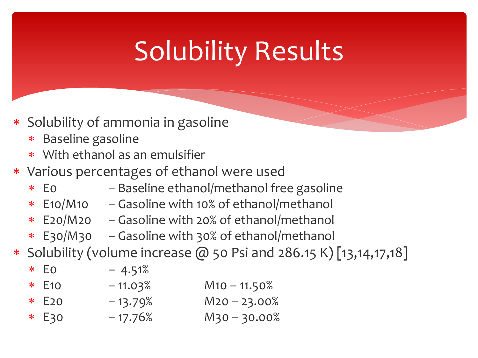# Solubility Results

- Solubility of ammonia in gasoline
	- Baseline gasoline
	- With ethanol as an emulsifier
- Various percentages of ethanol were used
	- E0 Baseline ethanol/methanol free gasoline
	- E10/M10 Gasoline with 10% of ethanol/methanol
	- E20/M20 Gasoline with 20% of ethanol/methanol
	- E30/M30 Gasoline with 30% of ethanol/methanol
- Solubility (volume increase @ 50 Psi and 286.15 K) [13,14,17,18]

 E0 – 4.51% E10 – 11.03% M10 – 11.50% E20 – 13.79% M20 – 23.00% E30 – 17.76% M30 – 30.00%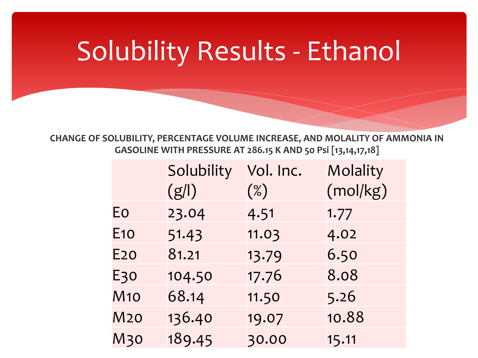# Solubility Results - Ethanol

**CHANGE OF SOLUBILITY, PERCENTAGE VOLUME INCREASE, AND MOLALITY OF AMMONIA IN GASOLINE WITH PRESSURE AT 286.15 K AND 50 Psi [13,14,17,18]**

|            | Solubility | Vol. Inc. | Molality |
|------------|------------|-----------|----------|
|            | $(g\ )$    | $(\%)$    | (mol/kg) |
| Eo         | 23.04      | 4.51      | 1.77     |
| <b>E10</b> | 51.43      | 11.03     | 4.02     |
| E2O        | 81.21      | 13.79     | 6.50     |
| E30        | 104.50     | 17.76     | 8.08     |
| <b>M10</b> | 68.14      | 11.50     | 5.26     |
| <b>M20</b> | 136.40     | 19.07     | 10.88    |
| <b>M30</b> | 189.45     | 30.00     | 15.11    |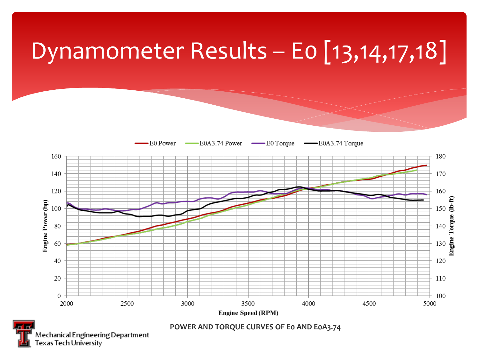

Mechanical Engineering Department exas Tech University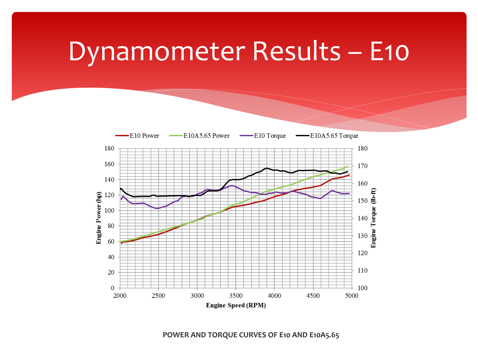#### Dynamometer Results – E10



**POWER AND TORQUE CURVES OF E10 AND E10A5.65**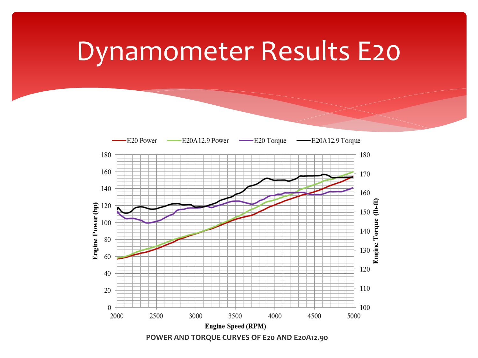#### Dynamometer Results E20

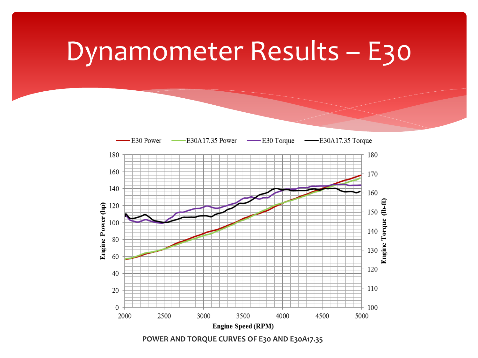#### Dynamometer Results – E30



**POWER AND TORQUE CURVES OF E30 AND E30A17.35**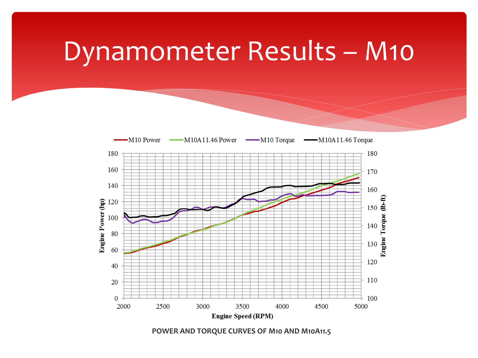#### Dynamometer Results – M10



**POWER AND TORQUE CURVES OF M10 AND M10A11.5**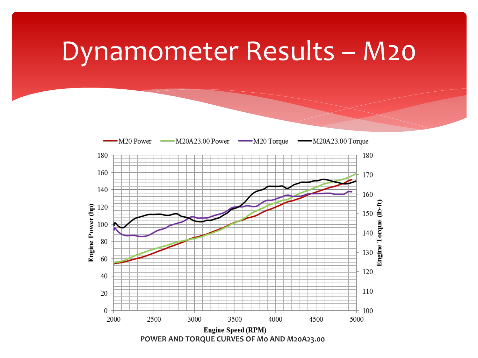#### Dynamometer Results – M20

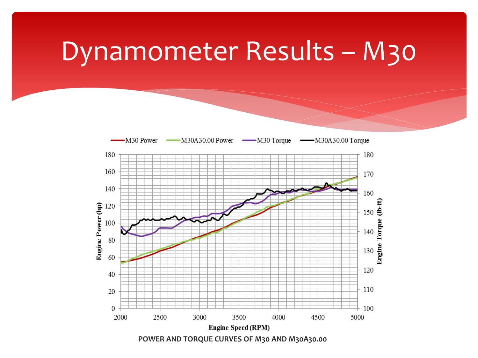#### Dynamometer Results – M30

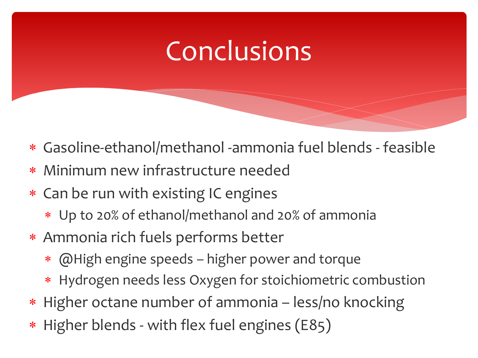# **Conclusions**

- Gasoline-ethanol/methanol -ammonia fuel blends feasible
- Minimum new infrastructure needed
- Can be run with existing IC engines
	- Up to 20% of ethanol/methanol and 20% of ammonia
- Ammonia rich fuels performs better
	- @High engine speeds higher power and torque
	- Hydrogen needs less Oxygen for stoichiometric combustion
- \* Higher octane number of ammonia less/no knocking
- Higher blends with flex fuel engines (E85)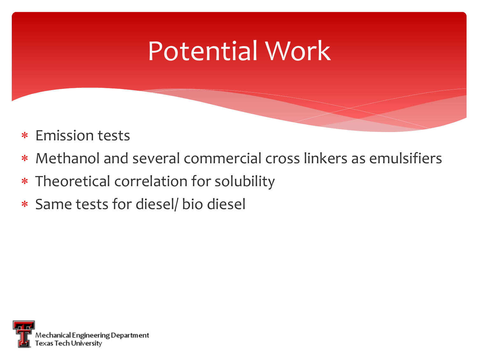# Potential Work

- Emission tests
- Methanol and several commercial cross linkers as emulsifiers
- Theoretical correlation for solubility
- Same tests for diesel/ bio diesel

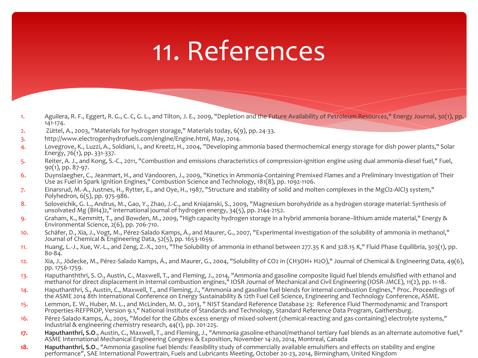## 11. References

- 1. Aguilera, R. F., Eggert, R. G., C. C, G. L., and Tilton, J. E., 2009, "Depletion and the Future Availability of Petroleum Resources," Energy Journal, 30(1), pp. 141-174.
- 2. Züttel, A., 2003, "Materials for hydrogen storage," Materials today, 6(9), pp. 24-33.
- 3. http://www.electrogenhydrofuels.com/engine/Engine.html, May, 2014.
- 4. Lovegrove, K., Luzzi, A., Soldiani, I., and Kreetz, H., 2004, "Developing ammonia based thermochemical energy storage for dish power plants," Solar Energy, 76(1), pp. 331-337.
- 5. Reiter, A. J., and Kong, S.-C., 2011, "Combustion and emissions characteristics of compression-ignition engine using dual ammonia-diesel fuel," Fuel, 90(1), pp. 87-97.
- 6. Duynslaegher, C., Jeanmart, H., and Vandooren, J., 2009, "Kinetics in Ammonia-Containing Premixed Flames and a Preliminary Investigation of Their Use as Fuel in Spark Ignition Engines," Combustion Science and Technology, 181(8), pp. 1092-1106.
- 7. Einarsrud, M.-A., Justnes, H., Rytter, E., and Oye, H., 1987, "Structure and stability of solid and molten complexes in the MgCl2-AlCl3 system," Polyhedron, 6(5), pp. 975-986.
- 8. Soloveichik, G. L., Andrus, M., Gao, Y., Zhao, J.-C., and Kniajanski, S., 2009, "Magnesium borohydride as a hydrogen storage material: Synthesis of unsolvated Mg (BH4)2," international journal of hydrogen energy, 34(5), pp. 2144-2152.
- 9. Graham, K., Kemmitt, T., and Bowden, M., 2009, "High capacity hydrogen storage in a hybrid ammonia borane–lithium amide material," Energy & Environmental Science, 2(6), pp. 706-710.
- 10. Schäfer, D., Xia, J., Vogt, M., Pérez-Salado Kamps, Á., and Maurer, G., 2007, "Experimental investigation of the solubility of ammonia in methanol," Journal of Chemical & Engineering Data, 52(5), pp. 1653-1659.
- 11. Huang, L.-J., Xue, W.-L., and Zeng, Z.-X., 2011, "The Solubility of ammonia in ethanol between 277.35 K and 328.15 K," Fluid Phase Equilibria, 303(1), pp. 80-84.
- 12. Xia, J., Jödecke, M., Pérez-Salado Kamps, Á., and Maurer, G., 2004, "Solubility of CO2 in (CH3OH+ H2O)," Journal of Chemical & Engineering Data, 49(6), pp. 1756-1759.
- 13. Haputhanththri, S. O., Austin, C., Maxwell, T., and Fleming, J., 2014, "Ammonia and gasoline composite liquid fuel blends emulsified with ethanol and methanol for direct displacement in internal combustion engines," IOSR Journal of Mechanical and Civil Engineering (IOSR-JMCE), 11(2), pp. 11-18.
- 14. Haputhanthri, S., Austin, C., Maxwell, T., and Fleming, J., "Ammonia and gasoline fuel blends for internal combustion Engines," Proc. Proceedings of the ASME 2014 8th International Conference on Energy Sustainability & 12th Fuel Cell Science, Engineering and Technology Conference, ASME.
- 15. Lemmon, E. W., Huber, M. L., and McLinden, M. O., 2013, " NIST Standard Reference Database 23: Reference Fluid Thermodynamic and Transport Properties-REFPROP, Version 9.1," National Institute of Standards and Technology, Standard Reference Data Program, Gaithersburg.
- 16. Pérez-Salado Kamps, Á., 2005, "Model for the Gibbs excess energy of mixed-solvent (chemical-reacting and gas-containing) electrolyte systems," Industrial & engineering chemistry research, 44(1), pp. 201-225.
- **17. Haputhanthri, S.O**., Austin, C., Maxwell, T., and Fleming, J., "Ammonia gasoline-ethanol/methanol tertiary fuel blends as an alternate automotive fuel," ASME International Mechanical Engineering Congress & Exposition, November 14-20, 2014, Montreal, Canada
- **18. Haputhanthri, S.O**., "Ammonia gasoline fuel blends: Feasibility study of commercially available emulsifiers and effects on stability and engine performance", SAE International Powertrain, Fuels and Lubricants Meeting, October 20-23, 2014, Birmingham, United Kingdom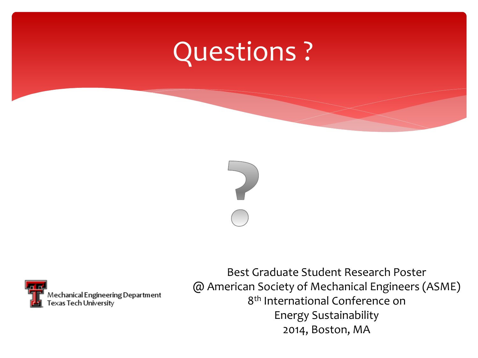# Questions ?





Best Graduate Student Research Poster @ American Society of Mechanical Engineers (ASME) 8 th International Conference on Energy Sustainability 2014, Boston, MA